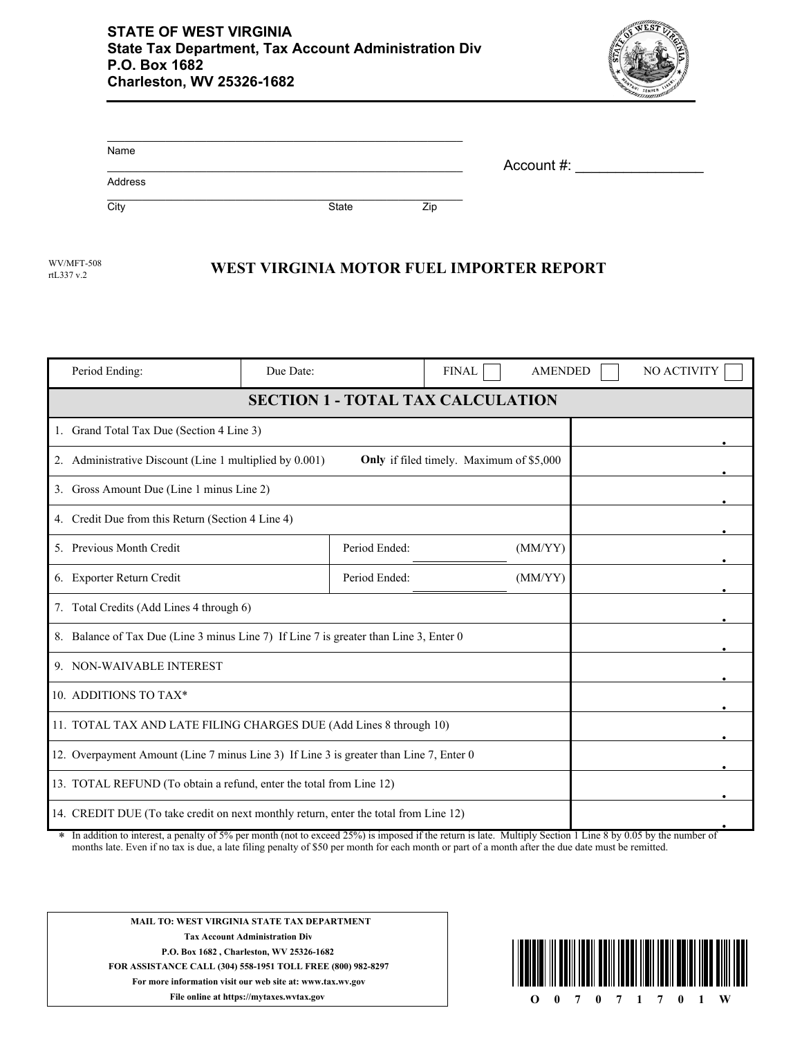

| Name    |       |     |            |  |
|---------|-------|-----|------------|--|
| Address |       |     | Account #: |  |
| City    | State | Zip |            |  |

rtL337 v.2

## WV/MFT-508 **WEST VIRGINIA MOTOR FUEL IMPORTER REPORT**

| Period Ending:                                                                                                                                                                                                                                                              | Due Date: |               | <b>FINAL</b> | <b>AMENDED</b> |        | NO ACTIVITY |
|-----------------------------------------------------------------------------------------------------------------------------------------------------------------------------------------------------------------------------------------------------------------------------|-----------|---------------|--------------|----------------|--------|-------------|
| <b>SECTION 1 - TOTAL TAX CALCULATION</b>                                                                                                                                                                                                                                    |           |               |              |                |        |             |
| 1. Grand Total Tax Due (Section 4 Line 3)                                                                                                                                                                                                                                   |           |               |              |                |        |             |
| 2. Administrative Discount (Line 1 multiplied by 0.001)<br>Only if filed timely. Maximum of \$5,000                                                                                                                                                                         |           |               |              |                |        |             |
| 3. Gross Amount Due (Line 1 minus Line 2)                                                                                                                                                                                                                                   |           |               |              |                |        |             |
| 4. Credit Due from this Return (Section 4 Line 4)                                                                                                                                                                                                                           |           |               |              |                |        |             |
| 5. Previous Month Credit                                                                                                                                                                                                                                                    |           | Period Ended: |              | (MM/YY)        |        |             |
| 6. Exporter Return Credit                                                                                                                                                                                                                                                   |           | Period Ended: |              | (MM/YY)        |        |             |
| 7. Total Credits (Add Lines 4 through 6)                                                                                                                                                                                                                                    |           |               |              |                |        |             |
| 8. Balance of Tax Due (Line 3 minus Line 7) If Line 7 is greater than Line 3, Enter 0                                                                                                                                                                                       |           |               |              |                |        |             |
| 9. NON-WAIVABLE INTEREST                                                                                                                                                                                                                                                    |           |               |              |                |        |             |
| 10. ADDITIONS TO TAX*                                                                                                                                                                                                                                                       |           |               |              |                |        |             |
| 11. TOTAL TAX AND LATE FILING CHARGES DUE (Add Lines 8 through 10)                                                                                                                                                                                                          |           |               |              |                |        |             |
| 12. Overpayment Amount (Line 7 minus Line 3) If Line 3 is greater than Line 7, Enter 0                                                                                                                                                                                      |           |               |              |                |        |             |
| 13. TOTAL REFUND (To obtain a refund, enter the total from Line 12)                                                                                                                                                                                                         |           |               |              |                |        |             |
| 14. CREDIT DUE (To take credit on next monthly return, enter the total from Line 12)<br>$-1.250/2$<br>8. The cold behavior for the color<br>$-14.7.561$<br>المتحدث المقاطعات كالقصام والمنادر<br>1.24.<br>$M_{\odot}$ 14 $\ddot{\circ}$ 1 $\ddot{\circ}$ 0 $\ddot{\circ}$ 4 |           |               |              |                | 0.0511 |             |

In addition to interest, a penalty of 5% per month (not to exceed 25%) is imposed if the return is late. Multiply Section 1 Line 8 by 0.05 by the number of months late. Even if no tax is due, a late filing penalty of \$50 per month for each month or part of a month after the due date must be remitted. \*



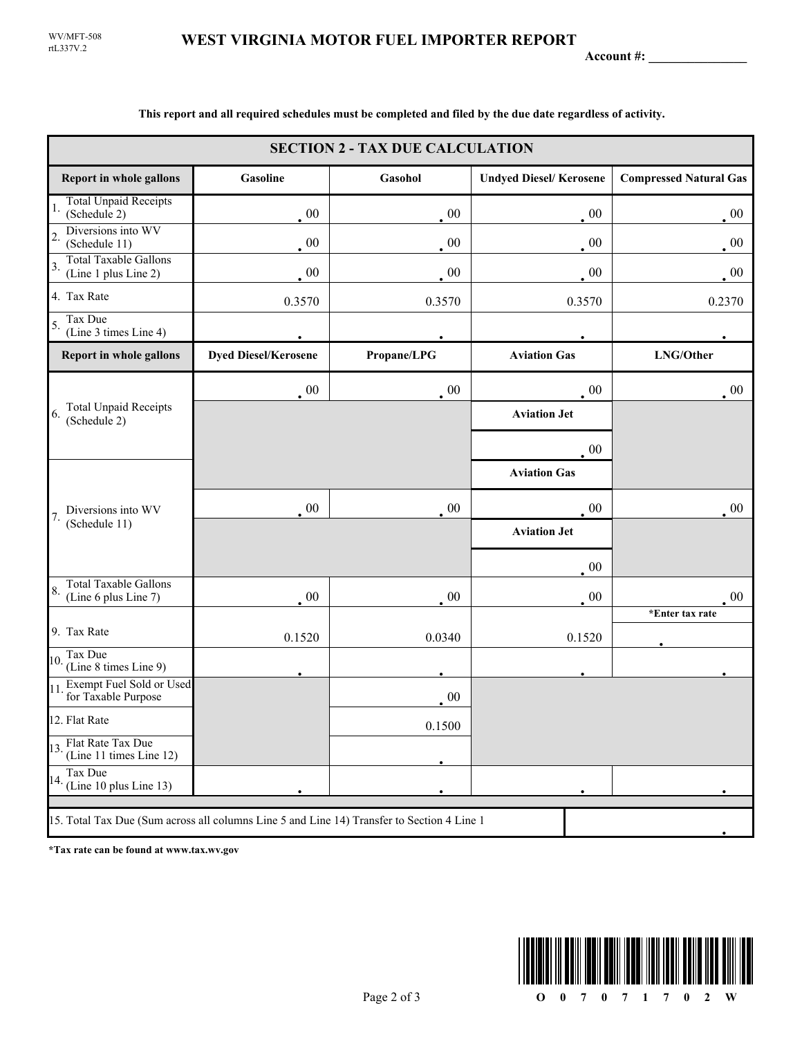**Account #: \_\_\_\_\_\_\_\_\_\_\_\_\_\_\_**

| <b>SECTION 2 - TAX DUE CALCULATION</b>                                                                             |                             |             |                               |                               |  |
|--------------------------------------------------------------------------------------------------------------------|-----------------------------|-------------|-------------------------------|-------------------------------|--|
| <b>Report in whole gallons</b>                                                                                     | Gasoline                    | Gasohol     | <b>Undyed Diesel/Kerosene</b> | <b>Compressed Natural Gas</b> |  |
| <b>Total Unpaid Receipts</b><br>1.<br>(Schedule 2)                                                                 | $00\,$                      | $00\,$      | $\cdot$ 00                    | $00\,$                        |  |
| Diversions into WV<br>$\overline{2}$<br>(Schedule 11)                                                              | 00                          | $00\,$      | $00\,$                        | $00\,$                        |  |
| <b>Total Taxable Gallons</b><br>3.<br>(Line 1 plus Line 2)                                                         | 00                          | 00          | $00\,$                        | $\cdot$ 00                    |  |
| 4. Tax Rate                                                                                                        | 0.3570                      | 0.3570      | 0.3570                        | 0.2370                        |  |
| Tax Due<br>5.<br>(Line 3 times Line 4)                                                                             |                             |             |                               |                               |  |
| Report in whole gallons                                                                                            | <b>Dyed Diesel/Kerosene</b> | Propane/LPG | <b>Aviation Gas</b>           | LNG/Other                     |  |
| <b>Total Unpaid Receipts</b><br>6.<br>(Schedule 2)                                                                 | $\sim 00$                   | 00          | $00\,$                        | $\cdot$ 00                    |  |
|                                                                                                                    |                             |             | <b>Aviation Jet</b>           |                               |  |
|                                                                                                                    |                             |             | 00                            |                               |  |
|                                                                                                                    |                             |             | <b>Aviation Gas</b>           |                               |  |
| Diversions into WV                                                                                                 | 00                          | 00          | $00\,$                        | $00\,$                        |  |
| 7.<br>(Schedule 11)<br><b>Total Taxable Gallons</b><br>8.<br>(Line 6 plus Line 7)<br>9. Tax Rate<br>Tax Due<br>10. |                             |             | <b>Aviation Jet</b>           |                               |  |
|                                                                                                                    |                             |             | $00\,$                        |                               |  |
|                                                                                                                    | 00                          | $00\,$      | $00\,$                        | 00                            |  |
|                                                                                                                    |                             |             |                               | *Enter tax rate               |  |
|                                                                                                                    | 0.1520                      | 0.0340      | 0.1520                        |                               |  |
| (Line 8 times Line 9)                                                                                              |                             |             |                               |                               |  |
| Exempt Fuel Sold or Used<br>11<br>for Taxable Purpose                                                              |                             | 00          |                               |                               |  |
| 12. Flat Rate                                                                                                      |                             | 0.1500      |                               |                               |  |
| 13. Flat Rate Tax Due<br>(Line 11 times Line 12)                                                                   |                             |             |                               |                               |  |
| Tax Due<br>$14.$ (Line 10 plus Line 13)                                                                            |                             |             |                               |                               |  |
| 15. Total Tax Due (Sum across all columns Line 5 and Line 14) Transfer to Section 4 Line 1                         |                             |             |                               |                               |  |

**This report and all required schedules must be completed and filed by the due date regardless of activity.**

**\*Tax rate can be found at www.tax.wv.gov**